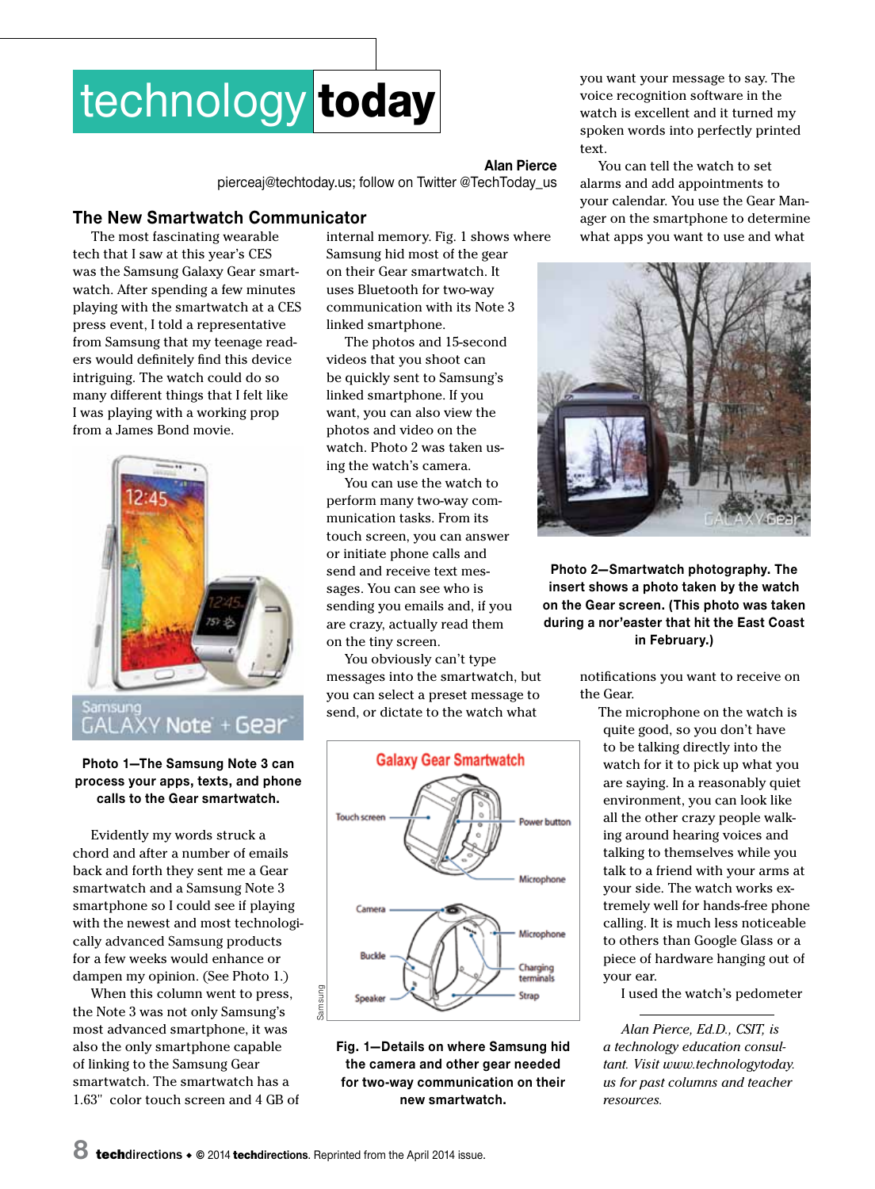

#### **Alan Pierce**

pierceaj@techtoday.us; follow on Twitter @TechToday\_us

## **The New Smartwatch Communicator**

The most fascinating wearable tech that I saw at this year's CES was the Samsung Galaxy Gear smartwatch. After spending a few minutes playing with the smartwatch at a CES press event, I told a representative from Samsung that my teenage readers would definitely find this device intriguing. The watch could do so many different things that I felt like I was playing with a working prop from a James Bond movie.



GALAXY Note + Gear

### **Photo 1—The Samsung Note 3 can process your apps, texts, and phone calls to the Gear smartwatch.**

Evidently my words struck a chord and after a number of emails back and forth they sent me a Gear smartwatch and a Samsung Note 3 smartphone so I could see if playing with the newest and most technologically advanced Samsung products for a few weeks would enhance or dampen my opinion. (See Photo 1.)

When this column went to press, the Note 3 was not only Samsung's most advanced smartphone, it was also the only smartphone capable of linking to the Samsung Gear smartwatch. The smartwatch has a 1.63" color touch screen and 4 GB of internal memory. Fig. 1 shows where Samsung hid most of the gear on their Gear smartwatch. It uses Bluetooth for two-way communication with its Note 3 linked smartphone.

The photos and 15-second videos that you shoot can be quickly sent to Samsung's linked smartphone. If you want, you can also view the photos and video on the watch. Photo 2 was taken using the watch's camera.

You can use the watch to perform many two-way communication tasks. From its touch screen, you can answer or initiate phone calls and send and receive text messages. You can see who is sending you emails and, if you are crazy, actually read them on the tiny screen.

You obviously can't type messages into the smartwatch, but you can select a preset message to send, or dictate to the watch what



**Fig. 1—Details on where Samsung hid the camera and other gear needed for two-way communication on their new smartwatch.**

you want your message to say. The voice recognition software in the watch is excellent and it turned my spoken words into perfectly printed text.

You can tell the watch to set alarms and add appointments to your calendar. You use the Gear Manager on the smartphone to determine what apps you want to use and what



**Photo 2—Smartwatch photography. The insert shows a photo taken by the watch on the Gear screen. (This photo was taken during a nor'easter that hit the East Coast in February.)**

> notifications you want to receive on the Gear.

The microphone on the watch is quite good, so you don't have to be talking directly into the watch for it to pick up what you are saying. In a reasonably quiet environment, you can look like all the other crazy people walking around hearing voices and talking to themselves while you talk to a friend with your arms at your side. The watch works extremely well for hands-free phone calling. It is much less noticeable to others than Google Glass or a piece of hardware hanging out of your ear.

I used the watch's pedometer

*Alan Pierce, Ed.D., CSIT, is a technology education consultant. Visit www.technologytoday. us for past columns and teacher resources.*